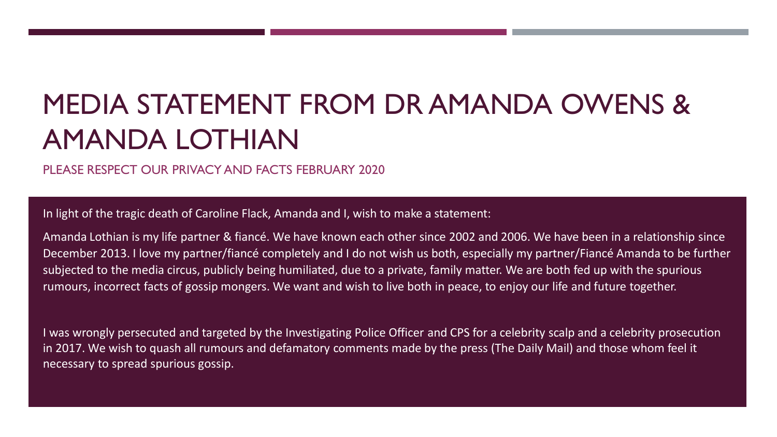## MEDIA STATEMENT FROM DR AMANDA OWENS & AMANDA LOTHIAN

PLEASE RESPECT OUR PRIVACY AND FACTS FEBRUARY 2020

In light of the tragic death of Caroline Flack, Amanda and I, wish to make a statement:

Amanda Lothian is my life partner & fiancé. We have known each other since 2002 and 2006. We have been in a relationship since December 2013. I love my partner/fiancé completely and I do not wish us both, especially my partner/Fiancé Amanda to be further subjected to the media circus, publicly being humiliated, due to a private, family matter. We are both fed up with the spurious rumours, incorrect facts of gossip mongers. We want and wish to live both in peace, to enjoy our life and future together.

I was wrongly persecuted and targeted by the Investigating Police Officer and CPS for a celebrity scalp and a celebrity prosecution in 2017. We wish to quash all rumours and defamatory comments made by the press (The Daily Mail) and those whom feel it necessary to spread spurious gossip.